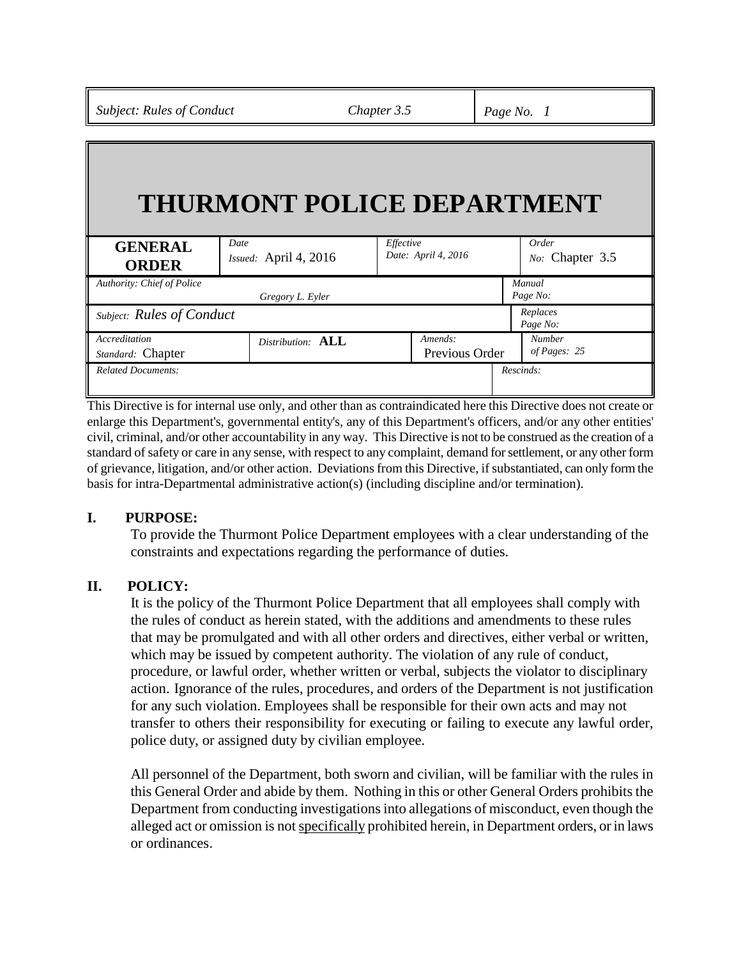# **THURMONT POLICE DEPARTMENT**

| <b>GENERAL</b><br><b>ORDER</b>     | Date<br>Issued: April 4, 2016 | Effective<br>Date: April 4, 2016 | Order<br>No: Chapter 3.5      |
|------------------------------------|-------------------------------|----------------------------------|-------------------------------|
| Authority: Chief of Police         | Gregory L. Eyler              |                                  | Manual<br>Page No:            |
| Subject: Rules of Conduct          |                               |                                  | Replaces<br>Page No:          |
| Accreditation<br>Standard: Chapter | Distribution: <b>ALL</b>      | Amends:<br>Previous Order        | <b>Number</b><br>of Pages: 25 |
| <b>Related Documents:</b>          |                               |                                  | Rescinds:                     |

This Directive is for internal use only, and other than as contraindicated here this Directive does not create or enlarge this Department's, governmental entity's, any of this Department's officers, and/or any other entities' civil, criminal, and/or other accountability in any way. This Directive is not to be construed as the creation of a standard of safety or care in any sense, with respect to any complaint, demand for settlement, or any other form of grievance, litigation, and/or other action. Deviations from this Directive, if substantiated, can only form the basis for intra-Departmental administrative action(s) (including discipline and/or termination).

## **I. PURPOSE:**

To provide the Thurmont Police Department employees with a clear understanding of the constraints and expectations regarding the performance of duties.

#### **II. POLICY:**

It is the policy of the Thurmont Police Department that all employees shall comply with the rules of conduct as herein stated, with the additions and amendments to these rules that may be promulgated and with all other orders and directives, either verbal or written, which may be issued by competent authority. The violation of any rule of conduct, procedure, or lawful order, whether written or verbal, subjects the violator to disciplinary action. Ignorance of the rules, procedures, and orders of the Department is not justification for any such violation. Employees shall be responsible for their own acts and may not transfer to others their responsibility for executing or failing to execute any lawful order, police duty, or assigned duty by civilian employee.

All personnel of the Department, both sworn and civilian, will be familiar with the rules in this General Order and abide by them. Nothing in this or other General Orders prohibits the Department from conducting investigations into allegations of misconduct, even though the alleged act or omission is not specifically prohibited herein, in Department orders, or in laws or ordinances.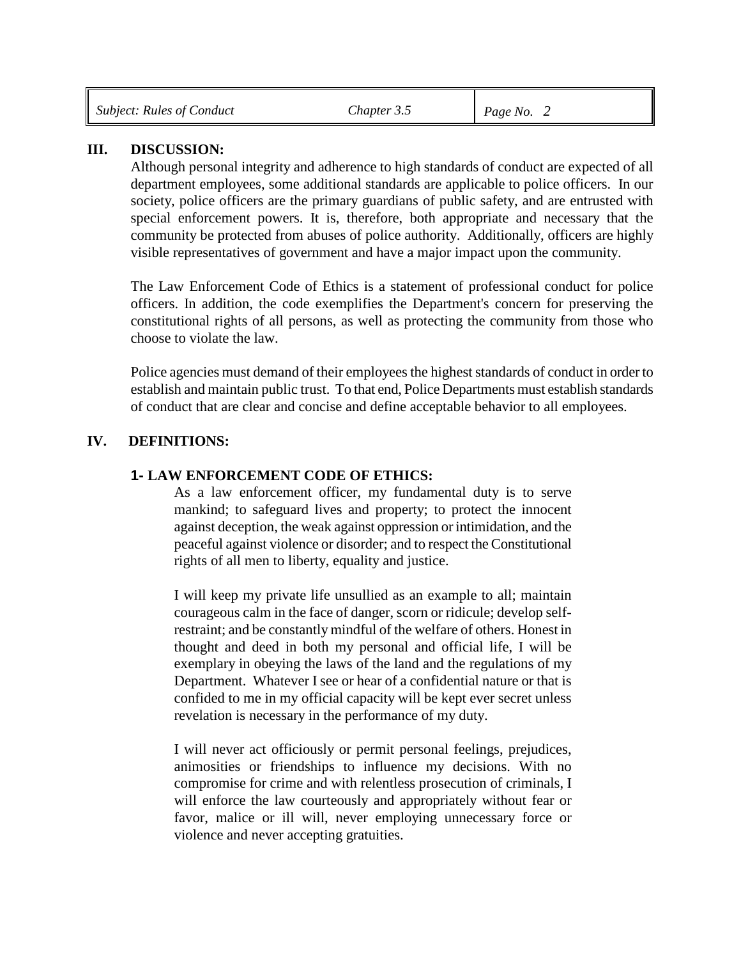| <b>Subject: Rules of Conduct</b> | Chapter 3.5 | <i>Page No.</i> 2 |
|----------------------------------|-------------|-------------------|
|                                  |             |                   |

#### **III. DISCUSSION:**

Although personal integrity and adherence to high standards of conduct are expected of all department employees, some additional standards are applicable to police officers. In our society, police officers are the primary guardians of public safety, and are entrusted with special enforcement powers. It is, therefore, both appropriate and necessary that the community be protected from abuses of police authority. Additionally, officers are highly visible representatives of government and have a major impact upon the community.

The Law Enforcement Code of Ethics is a statement of professional conduct for police officers. In addition, the code exemplifies the Department's concern for preserving the constitutional rights of all persons, as well as protecting the community from those who choose to violate the law.

Police agencies must demand of their employees the highest standards of conduct in order to establish and maintain public trust. To that end, Police Departments must establish standards of conduct that are clear and concise and define acceptable behavior to all employees.

#### **IV. DEFINITIONS:**

### **1- LAW ENFORCEMENT CODE OF ETHICS:**

As a law enforcement officer, my fundamental duty is to serve mankind; to safeguard lives and property; to protect the innocent against deception, the weak against oppression or intimidation, and the peaceful against violence or disorder; and to respect the Constitutional rights of all men to liberty, equality and justice.

I will keep my private life unsullied as an example to all; maintain courageous calm in the face of danger, scorn or ridicule; develop selfrestraint; and be constantly mindful of the welfare of others. Honest in thought and deed in both my personal and official life, I will be exemplary in obeying the laws of the land and the regulations of my Department. Whatever I see or hear of a confidential nature or that is confided to me in my official capacity will be kept ever secret unless revelation is necessary in the performance of my duty.

I will never act officiously or permit personal feelings, prejudices, animosities or friendships to influence my decisions. With no compromise for crime and with relentless prosecution of criminals, I will enforce the law courteously and appropriately without fear or favor, malice or ill will, never employing unnecessary force or violence and never accepting gratuities.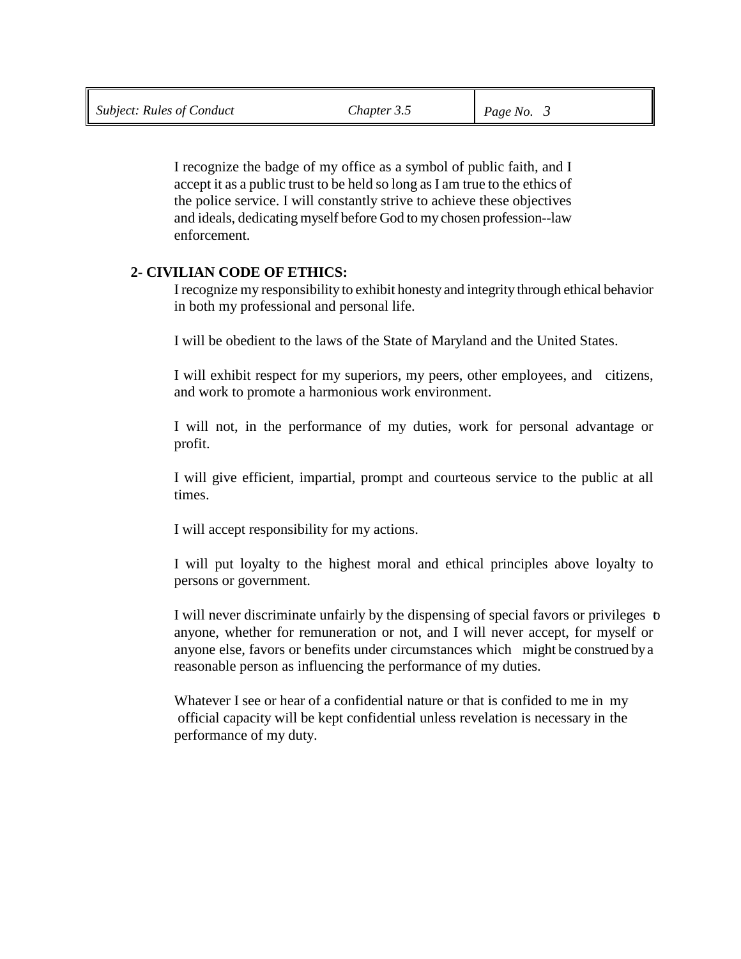I recognize the badge of my office as a symbol of public faith, and I accept it as a public trust to be held so long as I am true to the ethics of the police service. I will constantly strive to achieve these objectives and ideals, dedicating myself before God to my chosen profession--law enforcement.

## **2- CIVILIAN CODE OF ETHICS:**

I recognize my responsibility to exhibit honesty and integrity through ethical behavior in both my professional and personal life.

I will be obedient to the laws of the State of Maryland and the United States.

I will exhibit respect for my superiors, my peers, other employees, and citizens, and work to promote a harmonious work environment.

I will not, in the performance of my duties, work for personal advantage or profit.

I will give efficient, impartial, prompt and courteous service to the public at all times.

I will accept responsibility for my actions.

I will put loyalty to the highest moral and ethical principles above loyalty to persons or government.

I will never discriminate unfairly by the dispensing of special favors or privileges to anyone, whether for remuneration or not, and I will never accept, for myself or anyone else, favors or benefits under circumstances which might be construed by a reasonable person as influencing the performance of my duties.

Whatever I see or hear of a confidential nature or that is confided to me in my official capacity will be kept confidential unless revelation is necessary in the performance of my duty.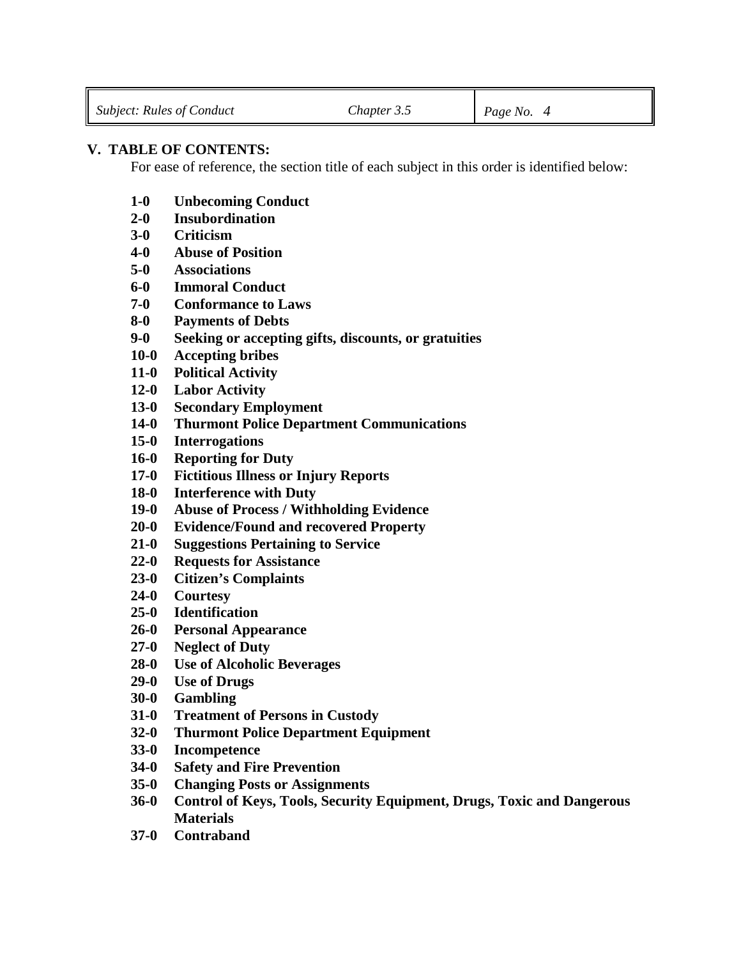## **V. TABLE OF CONTENTS:**

For ease of reference, the section title of each subject in this order is identified below:

- **1-0 Unbecoming Conduct**
- **2-0 Insubordination**
- **3-0 Criticism**
- **4-0 Abuse of Position**
- **5-0 Associations**
- **6-0 Immoral Conduct**
- **7-0 Conformance to Laws**
- **8-0 Payments of Debts**
- **9-0 Seeking or accepting gifts, discounts, or gratuities**
- **10-0 Accepting bribes**
- **11-0 Political Activity**
- **12-0 Labor Activity**
- **13-0 Secondary Employment**
- **14-0 Thurmont Police Department Communications**
- **15-0 Interrogations**
- **16-0 Reporting for Duty**
- **17-0 Fictitious Illness or Injury Reports**
- **18-0 Interference with Duty**
- **19-0 Abuse of Process / Withholding Evidence**
- **20-0 Evidence/Found and recovered Property**
- **21-0 Suggestions Pertaining to Service**
- **22-0 Requests for Assistance**
- **23-0 Citizen's Complaints**
- **24-0 Courtesy**
- **25-0 Identification**
- **26-0 Personal Appearance**
- **27-0 Neglect of Duty**
- **28-0 Use of Alcoholic Beverages**
- **29-0 Use of Drugs**
- **30-0 Gambling**
- **31-0 Treatment of Persons in Custody**
- **32-0 Thurmont Police Department Equipment**
- **33-0 Incompetence**
- **34-0 Safety and Fire Prevention**
- **35-0 Changing Posts or Assignments**
- **36-0 Control of Keys, Tools, Security Equipment, Drugs, Toxic and Dangerous Materials**
- **37-0 Contraband**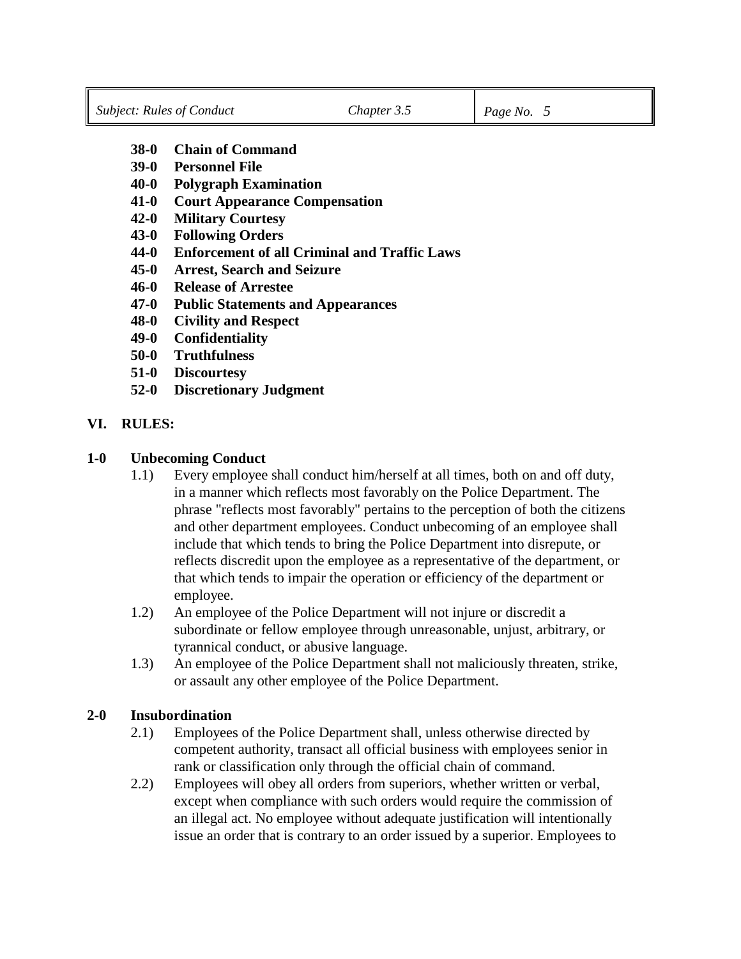- **38-0 Chain of Command**
- **39-0 Personnel File**
- **40-0 Polygraph Examination**
- **41-0 Court Appearance Compensation**
- **42-0 Military Courtesy**
- **43-0 Following Orders**
- **44-0 Enforcement of all Criminal and Traffic Laws**
- **45-0 Arrest, Search and Seizure**
- **46-0 Release of Arrestee**
- **47-0 Public Statements and Appearances**
- **48-0 Civility and Respect**
- **49-0 Confidentiality**
- **50-0 Truthfulness**
- **51-0 Discourtesy**
- **52-0 Discretionary Judgment**

#### **VI. RULES:**

#### **1-0 Unbecoming Conduct**

- 1.1) Every employee shall conduct him/herself at all times, both on and off duty, in a manner which reflects most favorably on the Police Department. The phrase "reflects most favorably" pertains to the perception of both the citizens and other department employees. Conduct unbecoming of an employee shall include that which tends to bring the Police Department into disrepute, or reflects discredit upon the employee as a representative of the department, or that which tends to impair the operation or efficiency of the department or employee.
- 1.2) An employee of the Police Department will not injure or discredit a subordinate or fellow employee through unreasonable, unjust, arbitrary, or tyrannical conduct, or abusive language.
- 1.3) An employee of the Police Department shall not maliciously threaten, strike, or assault any other employee of the Police Department.

#### **2-0 Insubordination**

- 2.1) Employees of the Police Department shall, unless otherwise directed by competent authority, transact all official business with employees senior in rank or classification only through the official chain of command.
- 2.2) Employees will obey all orders from superiors, whether written or verbal, except when compliance with such orders would require the commission of an illegal act. No employee without adequate justification will intentionally issue an order that is contrary to an order issued by a superior. Employees to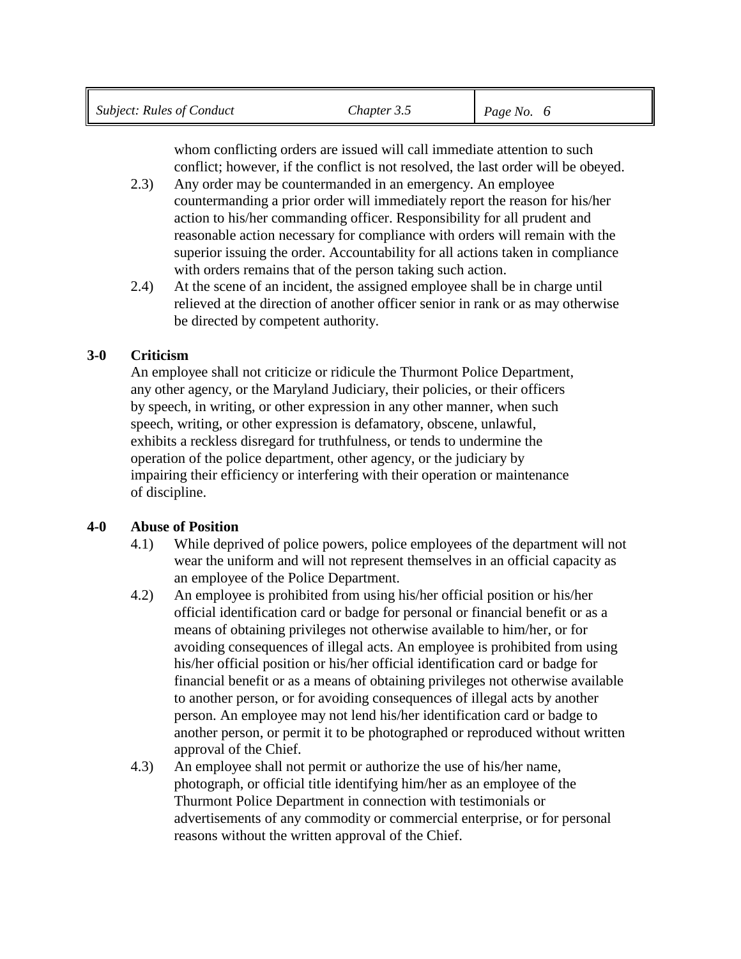whom conflicting orders are issued will call immediate attention to such conflict; however, if the conflict is not resolved, the last order will be obeyed.

- 2.3) Any order may be countermanded in an emergency. An employee countermanding a prior order will immediately report the reason for his/her action to his/her commanding officer. Responsibility for all prudent and reasonable action necessary for compliance with orders will remain with the superior issuing the order. Accountability for all actions taken in compliance with orders remains that of the person taking such action.
- 2.4) At the scene of an incident, the assigned employee shall be in charge until relieved at the direction of another officer senior in rank or as may otherwise be directed by competent authority.

# **3-0 Criticism**

An employee shall not criticize or ridicule the Thurmont Police Department, any other agency, or the Maryland Judiciary, their policies, or their officers by speech, in writing, or other expression in any other manner, when such speech, writing, or other expression is defamatory, obscene, unlawful, exhibits a reckless disregard for truthfulness, or tends to undermine the operation of the police department, other agency, or the judiciary by impairing their efficiency or interfering with their operation or maintenance of discipline.

## **4-0 Abuse of Position**

- 4.1) While deprived of police powers, police employees of the department will not wear the uniform and will not represent themselves in an official capacity as an employee of the Police Department.
- 4.2) An employee is prohibited from using his/her official position or his/her official identification card or badge for personal or financial benefit or as a means of obtaining privileges not otherwise available to him/her, or for avoiding consequences of illegal acts. An employee is prohibited from using his/her official position or his/her official identification card or badge for financial benefit or as a means of obtaining privileges not otherwise available to another person, or for avoiding consequences of illegal acts by another person. An employee may not lend his/her identification card or badge to another person, or permit it to be photographed or reproduced without written approval of the Chief.
- 4.3) An employee shall not permit or authorize the use of his/her name, photograph, or official title identifying him/her as an employee of the Thurmont Police Department in connection with testimonials or advertisements of any commodity or commercial enterprise, or for personal reasons without the written approval of the Chief.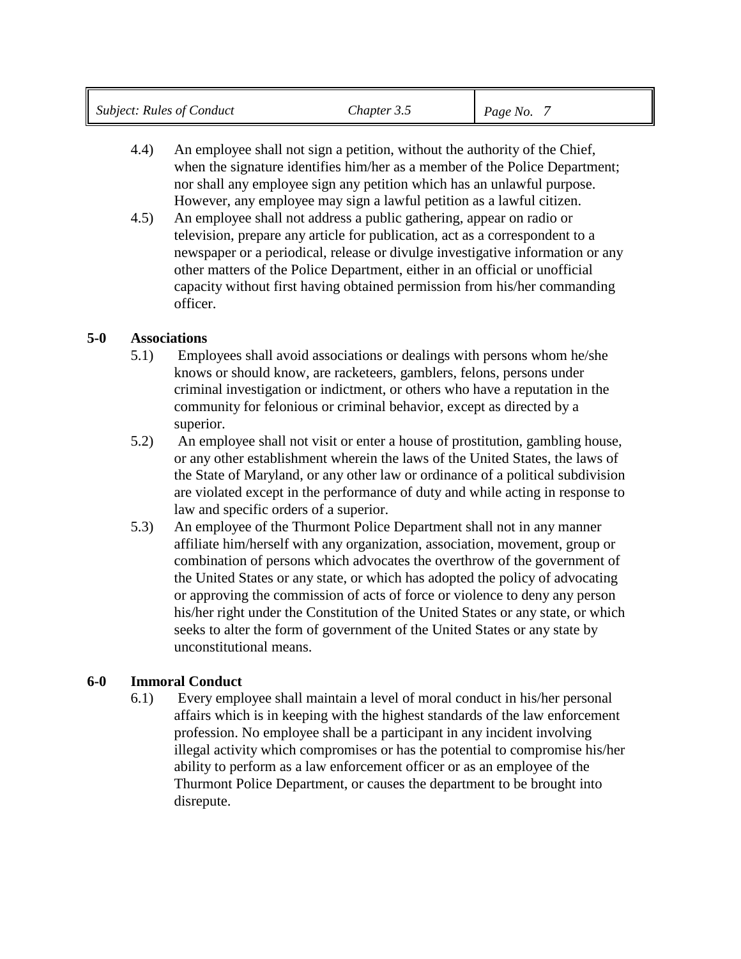- 4.4) An employee shall not sign a petition, without the authority of the Chief, when the signature identifies him/her as a member of the Police Department; nor shall any employee sign any petition which has an unlawful purpose. However, any employee may sign a lawful petition as a lawful citizen.
- 4.5) An employee shall not address a public gathering, appear on radio or television, prepare any article for publication, act as a correspondent to a newspaper or a periodical, release or divulge investigative information or any other matters of the Police Department, either in an official or unofficial capacity without first having obtained permission from his/her commanding officer.

## **5-0 Associations**

- 5.1) Employees shall avoid associations or dealings with persons whom he/she knows or should know, are racketeers, gamblers, felons, persons under criminal investigation or indictment, or others who have a reputation in the community for felonious or criminal behavior, except as directed by a superior.
- 5.2) An employee shall not visit or enter a house of prostitution, gambling house, or any other establishment wherein the laws of the United States, the laws of the State of Maryland, or any other law or ordinance of a political subdivision are violated except in the performance of duty and while acting in response to law and specific orders of a superior.
- 5.3) An employee of the Thurmont Police Department shall not in any manner affiliate him/herself with any organization, association, movement, group or combination of persons which advocates the overthrow of the government of the United States or any state, or which has adopted the policy of advocating or approving the commission of acts of force or violence to deny any person his/her right under the Constitution of the United States or any state, or which seeks to alter the form of government of the United States or any state by unconstitutional means.

## **6-0 Immoral Conduct**

6.1) Every employee shall maintain a level of moral conduct in his/her personal affairs which is in keeping with the highest standards of the law enforcement profession. No employee shall be a participant in any incident involving illegal activity which compromises or has the potential to compromise his/her ability to perform as a law enforcement officer or as an employee of the Thurmont Police Department, or causes the department to be brought into disrepute.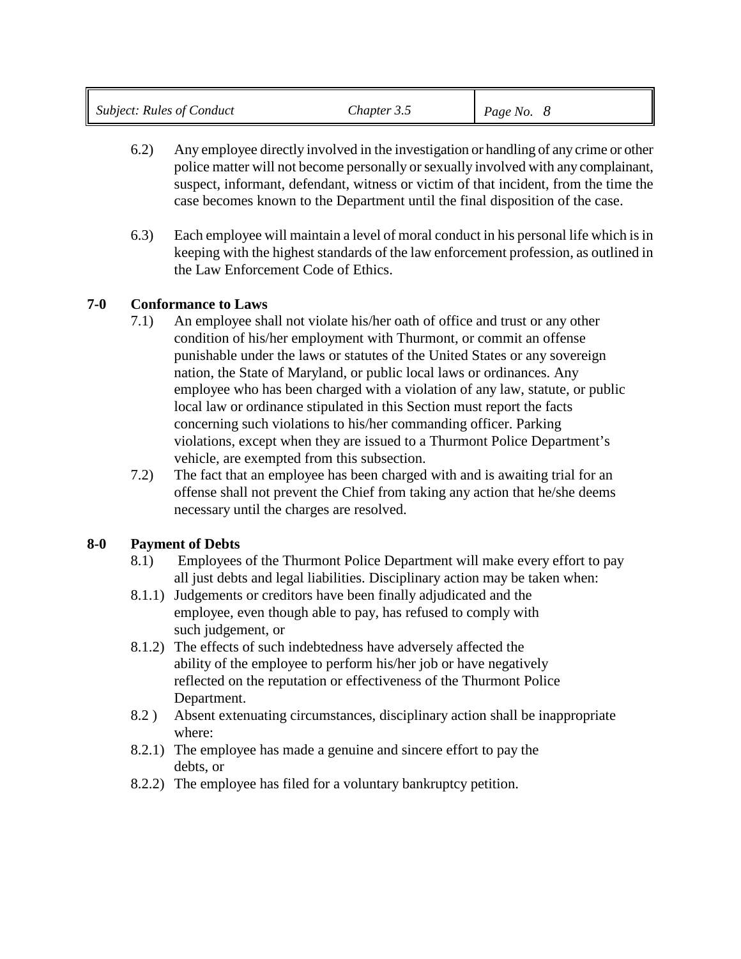| <b>Subject: Rules of Conduct</b> | Chapter 3.5 | Page No. $8$ |
|----------------------------------|-------------|--------------|
|                                  |             |              |

- 6.2) Any employee directly involved in the investigation or handling of any crime or other police matter will not become personally or sexually involved with any complainant, suspect, informant, defendant, witness or victim of that incident, from the time the case becomes known to the Department until the final disposition of the case.
- 6.3) Each employee will maintain a level of moral conduct in his personal life which is in keeping with the highest standards of the law enforcement profession, as outlined in the Law Enforcement Code of Ethics.

## **7-0 Conformance to Laws**

- 7.1) An employee shall not violate his/her oath of office and trust or any other condition of his/her employment with Thurmont, or commit an offense punishable under the laws or statutes of the United States or any sovereign nation, the State of Maryland, or public local laws or ordinances. Any employee who has been charged with a violation of any law, statute, or public local law or ordinance stipulated in this Section must report the facts concerning such violations to his/her commanding officer. Parking violations, except when they are issued to a Thurmont Police Department's vehicle, are exempted from this subsection.
- 7.2) The fact that an employee has been charged with and is awaiting trial for an offense shall not prevent the Chief from taking any action that he/she deems necessary until the charges are resolved.

## **8-0 Payment of Debts**

- 8.1) Employees of the Thurmont Police Department will make every effort to pay all just debts and legal liabilities. Disciplinary action may be taken when:
- 8.1.1) Judgements or creditors have been finally adjudicated and the employee, even though able to pay, has refused to comply with such judgement, or
- 8.1.2) The effects of such indebtedness have adversely affected the ability of the employee to perform his/her job or have negatively reflected on the reputation or effectiveness of the Thurmont Police Department.
- 8.2 ) Absent extenuating circumstances, disciplinary action shall be inappropriate where:
- 8.2.1) The employee has made a genuine and sincere effort to pay the debts, or
- 8.2.2) The employee has filed for a voluntary bankruptcy petition.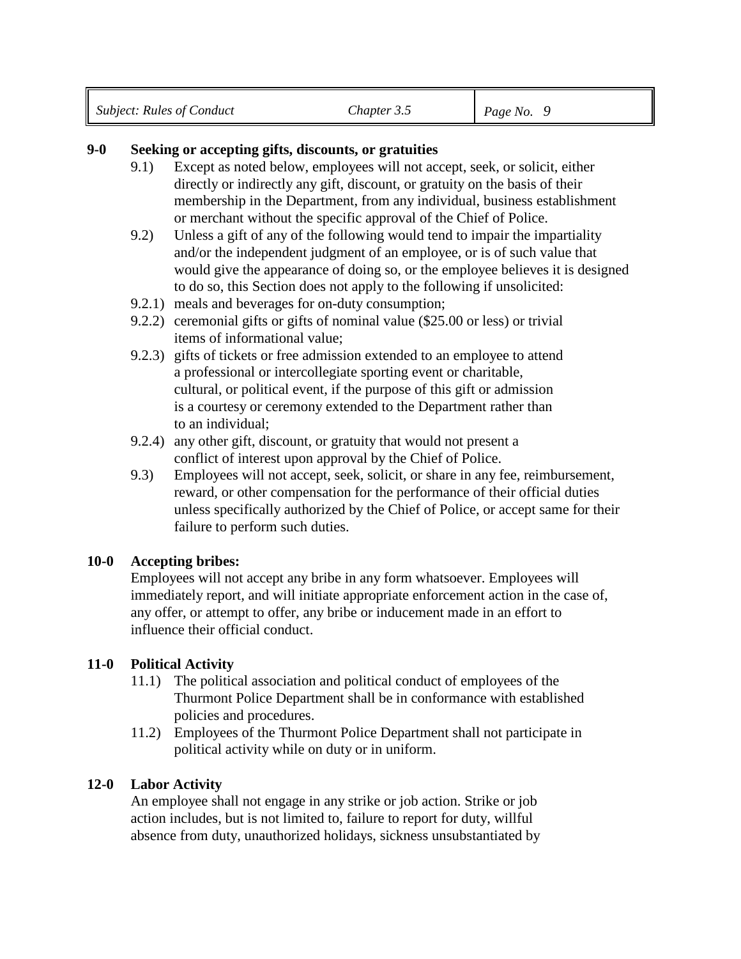| <b>Subject: Rules of Conduct</b> | Chapter 3.5 | $\mid$ Page No. 9 |  |
|----------------------------------|-------------|-------------------|--|
|                                  |             |                   |  |

### **9-0 Seeking or accepting gifts, discounts, or gratuities**

- 9.1) Except as noted below, employees will not accept, seek, or solicit, either directly or indirectly any gift, discount, or gratuity on the basis of their membership in the Department, from any individual, business establishment or merchant without the specific approval of the Chief of Police.
- 9.2) Unless a gift of any of the following would tend to impair the impartiality and/or the independent judgment of an employee, or is of such value that would give the appearance of doing so, or the employee believes it is designed to do so, this Section does not apply to the following if unsolicited:
- 9.2.1) meals and beverages for on-duty consumption;
- 9.2.2) ceremonial gifts or gifts of nominal value (\$25.00 or less) or trivial items of informational value;
- 9.2.3) gifts of tickets or free admission extended to an employee to attend a professional or intercollegiate sporting event or charitable, cultural, or political event, if the purpose of this gift or admission is a courtesy or ceremony extended to the Department rather than to an individual;
- 9.2.4) any other gift, discount, or gratuity that would not present a conflict of interest upon approval by the Chief of Police.
- 9.3) Employees will not accept, seek, solicit, or share in any fee, reimbursement, reward, or other compensation for the performance of their official duties unless specifically authorized by the Chief of Police, or accept same for their failure to perform such duties.

#### **10-0 Accepting bribes:**

Employees will not accept any bribe in any form whatsoever. Employees will immediately report, and will initiate appropriate enforcement action in the case of, any offer, or attempt to offer, any bribe or inducement made in an effort to influence their official conduct.

#### **11-0 Political Activity**

- 11.1) The political association and political conduct of employees of the Thurmont Police Department shall be in conformance with established policies and procedures.
- 11.2) Employees of the Thurmont Police Department shall not participate in political activity while on duty or in uniform.

#### **12-0 Labor Activity**

An employee shall not engage in any strike or job action. Strike or job action includes, but is not limited to, failure to report for duty, willful absence from duty, unauthorized holidays, sickness unsubstantiated by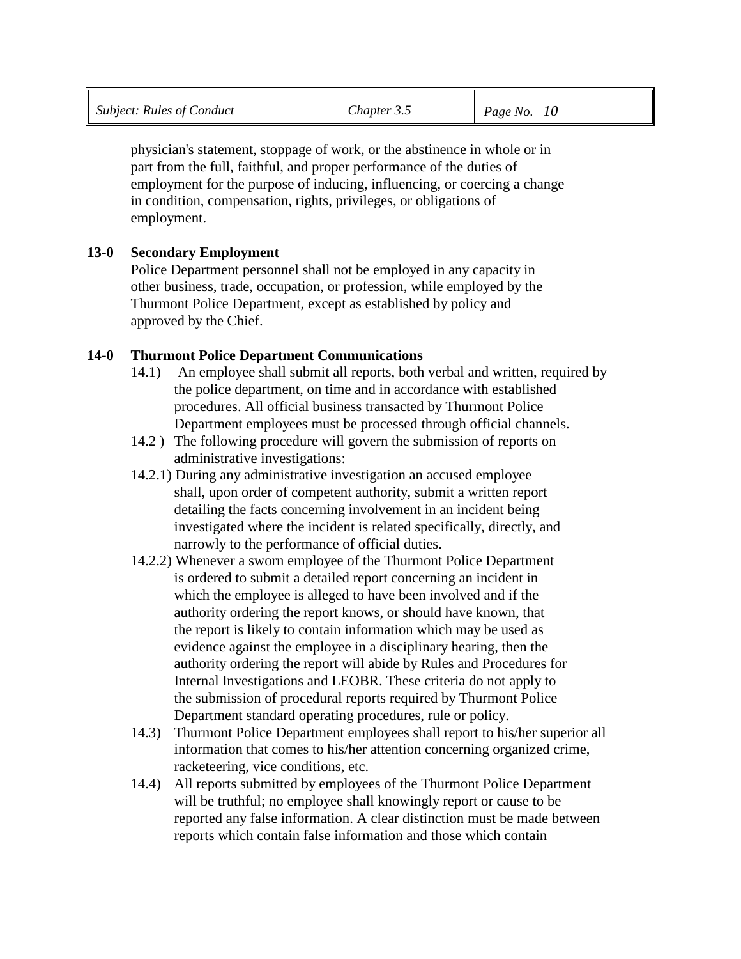physician's statement, stoppage of work, or the abstinence in whole or in part from the full, faithful, and proper performance of the duties of employment for the purpose of inducing, influencing, or coercing a change in condition, compensation, rights, privileges, or obligations of employment.

## **13-0 Secondary Employment**

Police Department personnel shall not be employed in any capacity in other business, trade, occupation, or profession, while employed by the Thurmont Police Department, except as established by policy and approved by the Chief.

## **14-0 Thurmont Police Department Communications**

- 14.1) An employee shall submit all reports, both verbal and written, required by the police department, on time and in accordance with established procedures. All official business transacted by Thurmont Police Department employees must be processed through official channels.
- 14.2 ) The following procedure will govern the submission of reports on administrative investigations:
- 14.2.1) During any administrative investigation an accused employee shall, upon order of competent authority, submit a written report detailing the facts concerning involvement in an incident being investigated where the incident is related specifically, directly, and narrowly to the performance of official duties.
- 14.2.2) Whenever a sworn employee of the Thurmont Police Department is ordered to submit a detailed report concerning an incident in which the employee is alleged to have been involved and if the authority ordering the report knows, or should have known, that the report is likely to contain information which may be used as evidence against the employee in a disciplinary hearing, then the authority ordering the report will abide by Rules and Procedures for Internal Investigations and LEOBR. These criteria do not apply to the submission of procedural reports required by Thurmont Police Department standard operating procedures, rule or policy.
- 14.3) Thurmont Police Department employees shall report to his/her superior all information that comes to his/her attention concerning organized crime, racketeering, vice conditions, etc.
- 14.4) All reports submitted by employees of the Thurmont Police Department will be truthful; no employee shall knowingly report or cause to be reported any false information. A clear distinction must be made between reports which contain false information and those which contain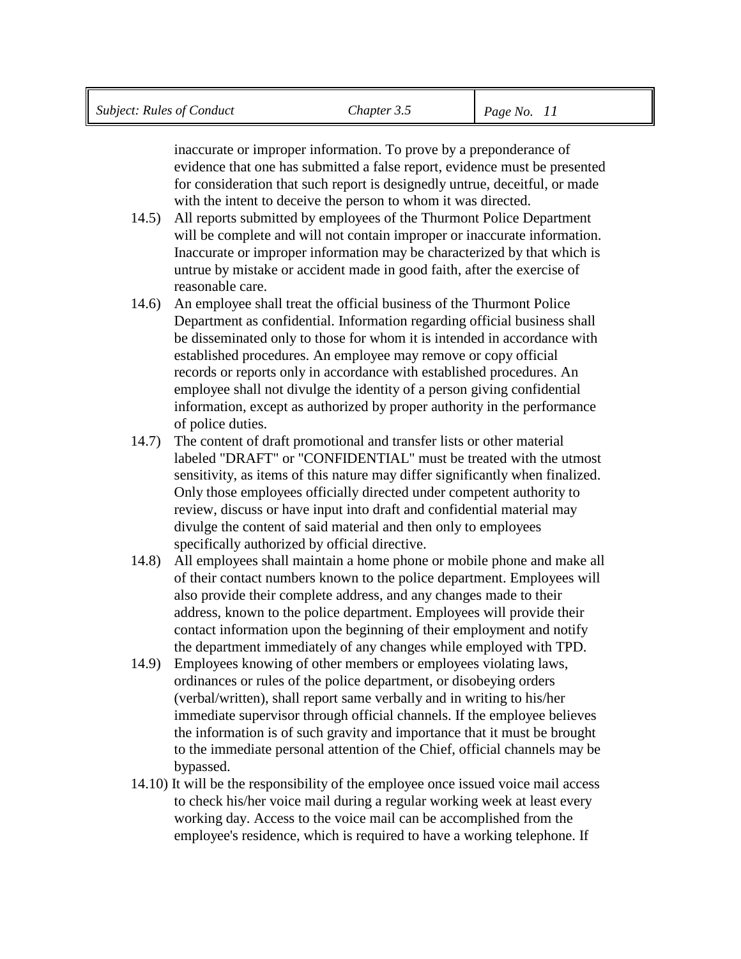inaccurate or improper information. To prove by a preponderance of evidence that one has submitted a false report, evidence must be presented for consideration that such report is designedly untrue, deceitful, or made with the intent to deceive the person to whom it was directed.

- 14.5) All reports submitted by employees of the Thurmont Police Department will be complete and will not contain improper or inaccurate information. Inaccurate or improper information may be characterized by that which is untrue by mistake or accident made in good faith, after the exercise of reasonable care.
- 14.6) An employee shall treat the official business of the Thurmont Police Department as confidential. Information regarding official business shall be disseminated only to those for whom it is intended in accordance with established procedures. An employee may remove or copy official records or reports only in accordance with established procedures. An employee shall not divulge the identity of a person giving confidential information, except as authorized by proper authority in the performance of police duties.
- 14.7) The content of draft promotional and transfer lists or other material labeled "DRAFT" or "CONFIDENTIAL" must be treated with the utmost sensitivity, as items of this nature may differ significantly when finalized. Only those employees officially directed under competent authority to review, discuss or have input into draft and confidential material may divulge the content of said material and then only to employees specifically authorized by official directive.
- 14.8) All employees shall maintain a home phone or mobile phone and make all of their contact numbers known to the police department. Employees will also provide their complete address, and any changes made to their address, known to the police department. Employees will provide their contact information upon the beginning of their employment and notify the department immediately of any changes while employed with TPD.
- 14.9) Employees knowing of other members or employees violating laws, ordinances or rules of the police department, or disobeying orders (verbal/written), shall report same verbally and in writing to his/her immediate supervisor through official channels. If the employee believes the information is of such gravity and importance that it must be brought to the immediate personal attention of the Chief, official channels may be bypassed.
- 14.10) It will be the responsibility of the employee once issued voice mail access to check his/her voice mail during a regular working week at least every working day. Access to the voice mail can be accomplished from the employee's residence, which is required to have a working telephone. If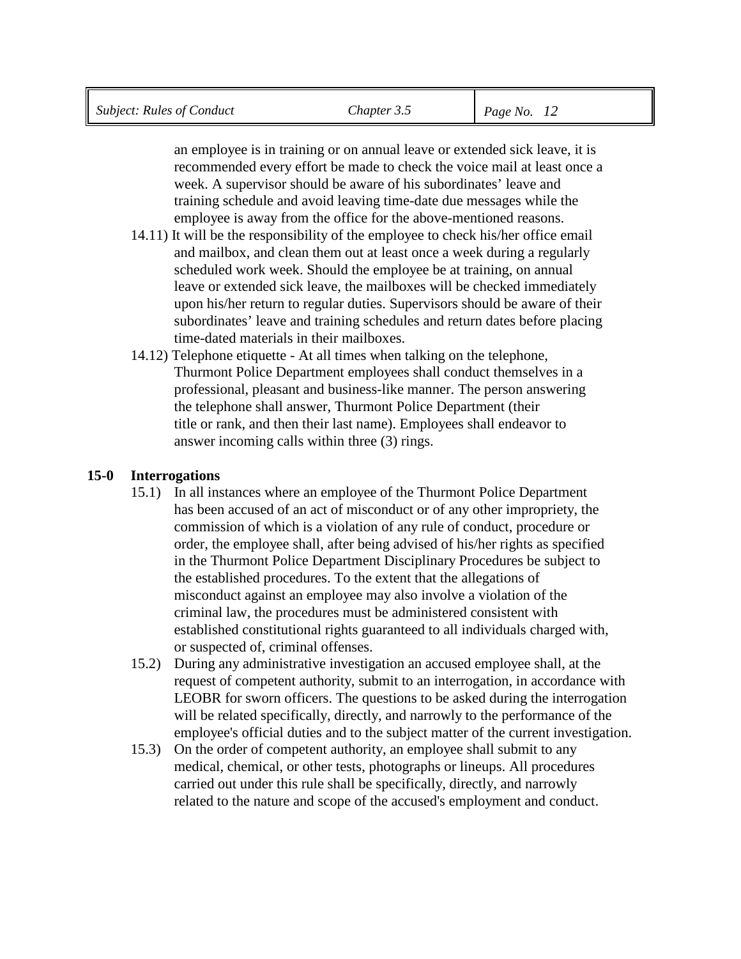an employee is in training or on annual leave or extended sick leave, it is recommended every effort be made to check the voice mail at least once a week. A supervisor should be aware of his subordinates' leave and training schedule and avoid leaving time-date due messages while the employee is away from the office for the above-mentioned reasons.

- 14.11) It will be the responsibility of the employee to check his/her office email and mailbox, and clean them out at least once a week during a regularly scheduled work week. Should the employee be at training, on annual leave or extended sick leave, the mailboxes will be checked immediately upon his/her return to regular duties. Supervisors should be aware of their subordinates' leave and training schedules and return dates before placing time-dated materials in their mailboxes.
- 14.12) Telephone etiquette At all times when talking on the telephone, Thurmont Police Department employees shall conduct themselves in a professional, pleasant and business-like manner. The person answering the telephone shall answer, Thurmont Police Department (their title or rank, and then their last name). Employees shall endeavor to answer incoming calls within three (3) rings.

## **15-0 Interrogations**

- 15.1) In all instances where an employee of the Thurmont Police Department has been accused of an act of misconduct or of any other impropriety, the commission of which is a violation of any rule of conduct, procedure or order, the employee shall, after being advised of his/her rights as specified in the Thurmont Police Department Disciplinary Procedures be subject to the established procedures. To the extent that the allegations of misconduct against an employee may also involve a violation of the criminal law, the procedures must be administered consistent with established constitutional rights guaranteed to all individuals charged with, or suspected of, criminal offenses.
- 15.2) During any administrative investigation an accused employee shall, at the request of competent authority, submit to an interrogation, in accordance with LEOBR for sworn officers. The questions to be asked during the interrogation will be related specifically, directly, and narrowly to the performance of the employee's official duties and to the subject matter of the current investigation.
- 15.3) On the order of competent authority, an employee shall submit to any medical, chemical, or other tests, photographs or lineups. All procedures carried out under this rule shall be specifically, directly, and narrowly related to the nature and scope of the accused's employment and conduct.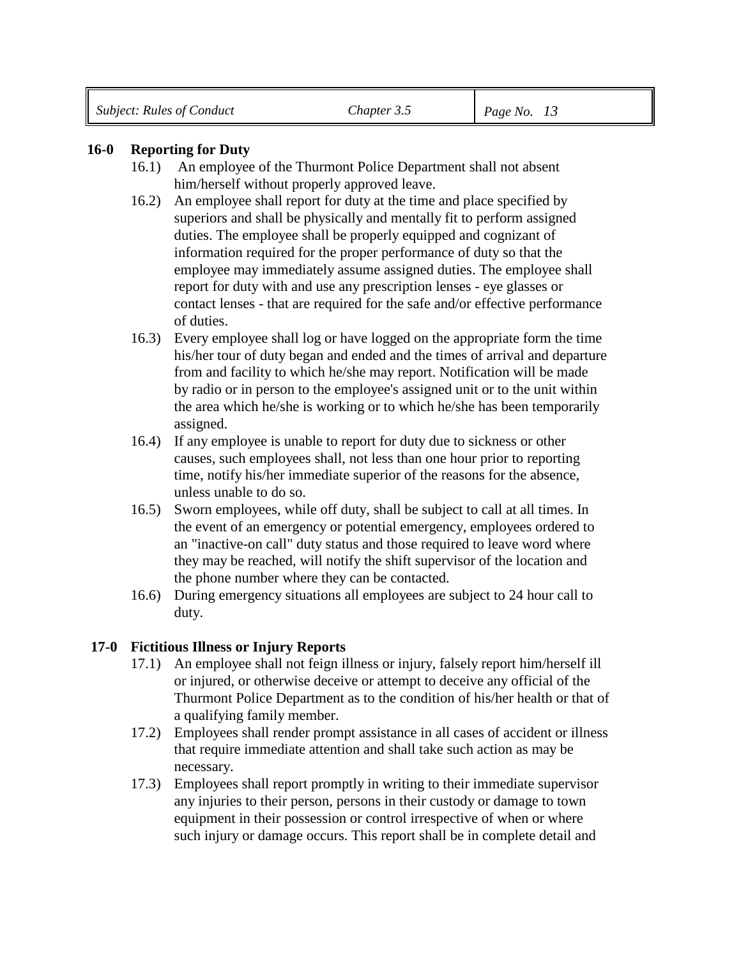#### **16-0 Reporting for Duty**

- 16.1) An employee of the Thurmont Police Department shall not absent him/herself without properly approved leave.
- 16.2) An employee shall report for duty at the time and place specified by superiors and shall be physically and mentally fit to perform assigned duties. The employee shall be properly equipped and cognizant of information required for the proper performance of duty so that the employee may immediately assume assigned duties. The employee shall report for duty with and use any prescription lenses - eye glasses or contact lenses - that are required for the safe and/or effective performance of duties.
- 16.3) Every employee shall log or have logged on the appropriate form the time his/her tour of duty began and ended and the times of arrival and departure from and facility to which he/she may report. Notification will be made by radio or in person to the employee's assigned unit or to the unit within the area which he/she is working or to which he/she has been temporarily assigned.
- 16.4) If any employee is unable to report for duty due to sickness or other causes, such employees shall, not less than one hour prior to reporting time, notify his/her immediate superior of the reasons for the absence, unless unable to do so.
- 16.5) Sworn employees, while off duty, shall be subject to call at all times. In the event of an emergency or potential emergency, employees ordered to an "inactive-on call" duty status and those required to leave word where they may be reached, will notify the shift supervisor of the location and the phone number where they can be contacted.
- 16.6) During emergency situations all employees are subject to 24 hour call to duty.

#### **17-0 Fictitious Illness or Injury Reports**

- 17.1) An employee shall not feign illness or injury, falsely report him/herself ill or injured, or otherwise deceive or attempt to deceive any official of the Thurmont Police Department as to the condition of his/her health or that of a qualifying family member.
- 17.2) Employees shall render prompt assistance in all cases of accident or illness that require immediate attention and shall take such action as may be necessary.
- 17.3) Employees shall report promptly in writing to their immediate supervisor any injuries to their person, persons in their custody or damage to town equipment in their possession or control irrespective of when or where such injury or damage occurs. This report shall be in complete detail and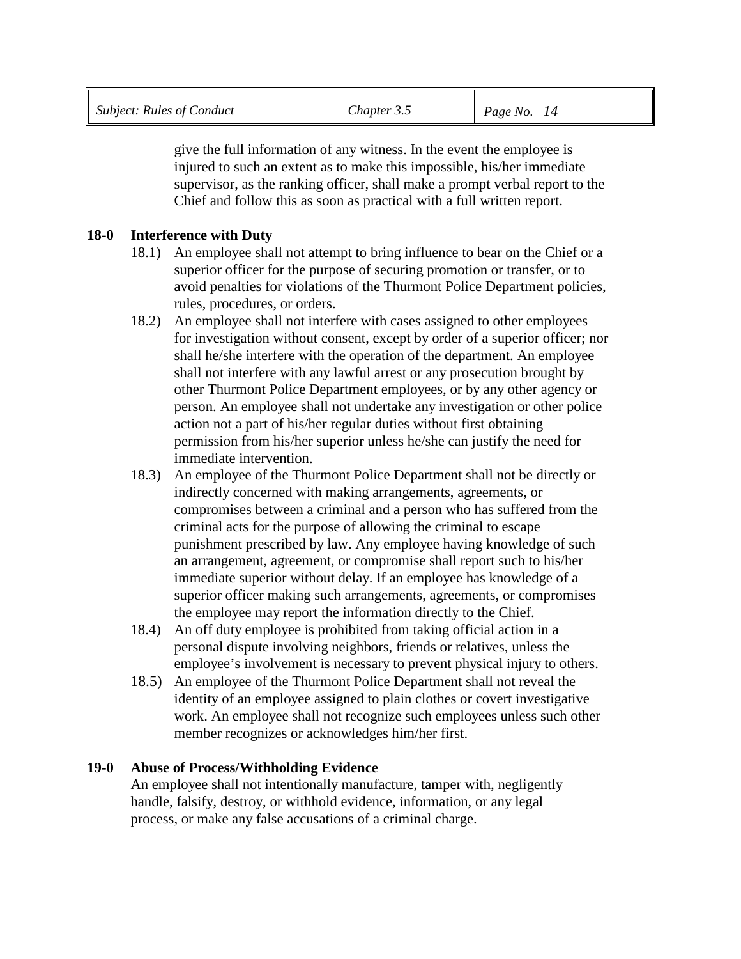|  | <b>Subject: Rules of Conduct</b> | Chapter 3.5 | Page No. $14$ |
|--|----------------------------------|-------------|---------------|
|--|----------------------------------|-------------|---------------|

give the full information of any witness. In the event the employee is injured to such an extent as to make this impossible, his/her immediate supervisor, as the ranking officer, shall make a prompt verbal report to the Chief and follow this as soon as practical with a full written report.

#### **18-0 Interference with Duty**

- 18.1) An employee shall not attempt to bring influence to bear on the Chief or a superior officer for the purpose of securing promotion or transfer, or to avoid penalties for violations of the Thurmont Police Department policies, rules, procedures, or orders.
- 18.2) An employee shall not interfere with cases assigned to other employees for investigation without consent, except by order of a superior officer; nor shall he/she interfere with the operation of the department. An employee shall not interfere with any lawful arrest or any prosecution brought by other Thurmont Police Department employees, or by any other agency or person. An employee shall not undertake any investigation or other police action not a part of his/her regular duties without first obtaining permission from his/her superior unless he/she can justify the need for immediate intervention.
- 18.3) An employee of the Thurmont Police Department shall not be directly or indirectly concerned with making arrangements, agreements, or compromises between a criminal and a person who has suffered from the criminal acts for the purpose of allowing the criminal to escape punishment prescribed by law. Any employee having knowledge of such an arrangement, agreement, or compromise shall report such to his/her immediate superior without delay. If an employee has knowledge of a superior officer making such arrangements, agreements, or compromises the employee may report the information directly to the Chief.
- 18.4) An off duty employee is prohibited from taking official action in a personal dispute involving neighbors, friends or relatives, unless the employee's involvement is necessary to prevent physical injury to others.
- 18.5) An employee of the Thurmont Police Department shall not reveal the identity of an employee assigned to plain clothes or covert investigative work. An employee shall not recognize such employees unless such other member recognizes or acknowledges him/her first.

#### **19-0 Abuse of Process/Withholding Evidence**

An employee shall not intentionally manufacture, tamper with, negligently handle, falsify, destroy, or withhold evidence, information, or any legal process, or make any false accusations of a criminal charge.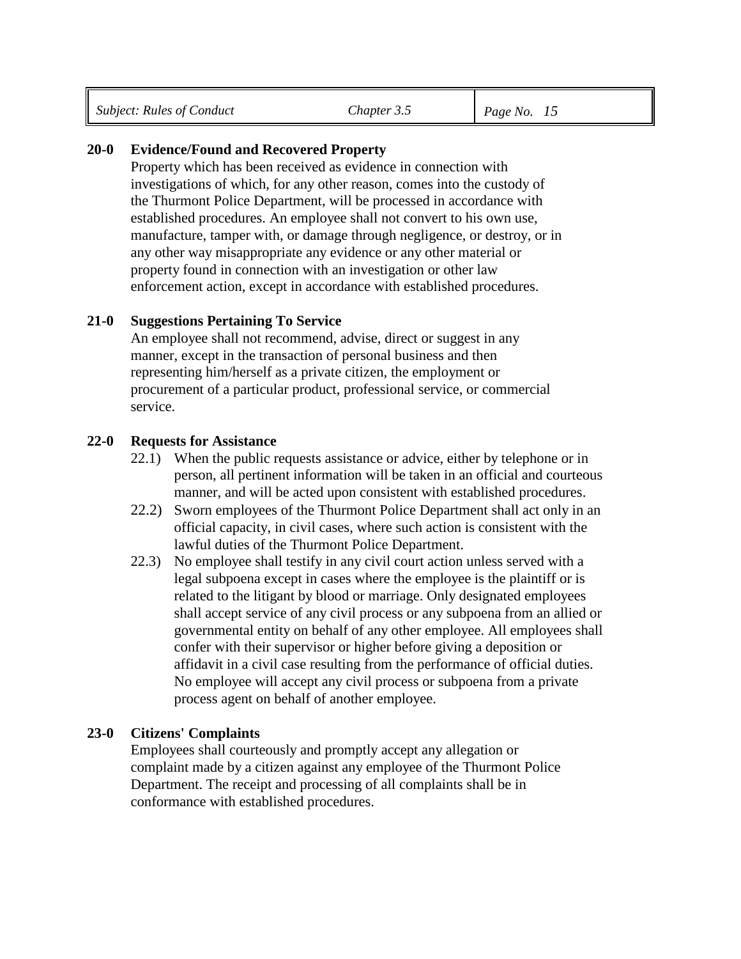#### **20-0 Evidence/Found and Recovered Property**

Property which has been received as evidence in connection with investigations of which, for any other reason, comes into the custody of the Thurmont Police Department, will be processed in accordance with established procedures. An employee shall not convert to his own use, manufacture, tamper with, or damage through negligence, or destroy, or in any other way misappropriate any evidence or any other material or property found in connection with an investigation or other law enforcement action, except in accordance with established procedures.

#### **21-0 Suggestions Pertaining To Service**

An employee shall not recommend, advise, direct or suggest in any manner, except in the transaction of personal business and then representing him/herself as a private citizen, the employment or procurement of a particular product, professional service, or commercial service.

#### **22-0 Requests for Assistance**

- 22.1) When the public requests assistance or advice, either by telephone or in person, all pertinent information will be taken in an official and courteous manner, and will be acted upon consistent with established procedures.
- 22.2) Sworn employees of the Thurmont Police Department shall act only in an official capacity, in civil cases, where such action is consistent with the lawful duties of the Thurmont Police Department.
- 22.3) No employee shall testify in any civil court action unless served with a legal subpoena except in cases where the employee is the plaintiff or is related to the litigant by blood or marriage. Only designated employees shall accept service of any civil process or any subpoena from an allied or governmental entity on behalf of any other employee. All employees shall confer with their supervisor or higher before giving a deposition or affidavit in a civil case resulting from the performance of official duties. No employee will accept any civil process or subpoena from a private process agent on behalf of another employee.

#### **23-0 Citizens' Complaints**

Employees shall courteously and promptly accept any allegation or complaint made by a citizen against any employee of the Thurmont Police Department. The receipt and processing of all complaints shall be in conformance with established procedures.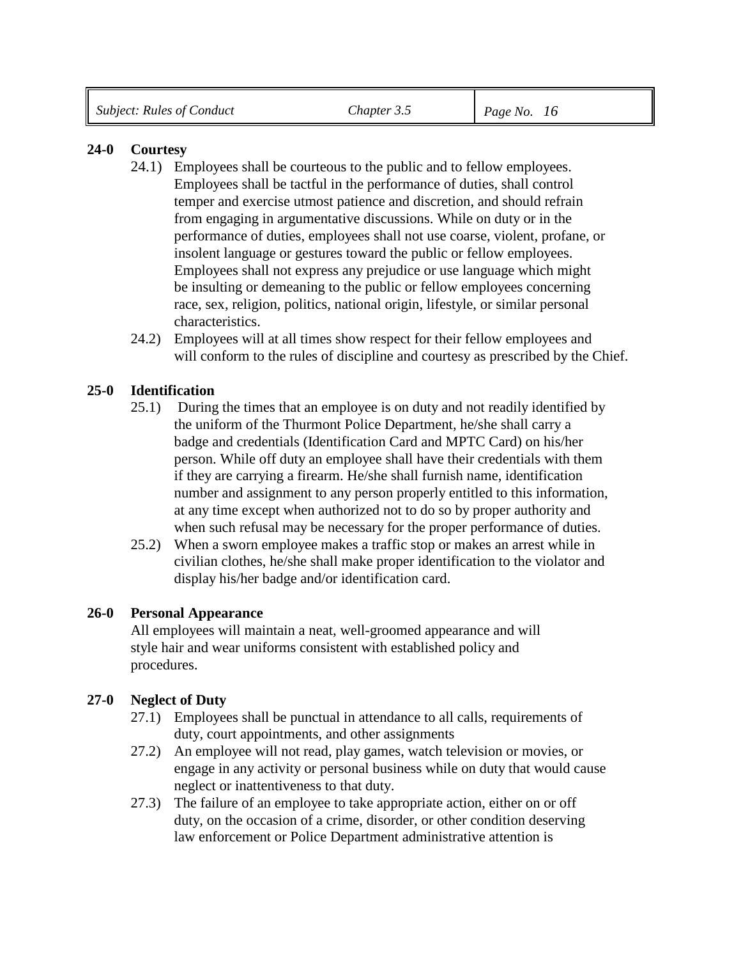## **24-0 Courtesy**

- 24.1) Employees shall be courteous to the public and to fellow employees. Employees shall be tactful in the performance of duties, shall control temper and exercise utmost patience and discretion, and should refrain from engaging in argumentative discussions. While on duty or in the performance of duties, employees shall not use coarse, violent, profane, or insolent language or gestures toward the public or fellow employees. Employees shall not express any prejudice or use language which might be insulting or demeaning to the public or fellow employees concerning race, sex, religion, politics, national origin, lifestyle, or similar personal characteristics.
- 24.2) Employees will at all times show respect for their fellow employees and will conform to the rules of discipline and courtesy as prescribed by the Chief.

## **25-0 Identification**

- 25.1) During the times that an employee is on duty and not readily identified by the uniform of the Thurmont Police Department, he/she shall carry a badge and credentials (Identification Card and MPTC Card) on his/her person. While off duty an employee shall have their credentials with them if they are carrying a firearm. He/she shall furnish name, identification number and assignment to any person properly entitled to this information, at any time except when authorized not to do so by proper authority and when such refusal may be necessary for the proper performance of duties.
- 25.2) When a sworn employee makes a traffic stop or makes an arrest while in civilian clothes, he/she shall make proper identification to the violator and display his/her badge and/or identification card.

#### **26-0 Personal Appearance**

All employees will maintain a neat, well-groomed appearance and will style hair and wear uniforms consistent with established policy and procedures.

## **27-0 Neglect of Duty**

- 27.1) Employees shall be punctual in attendance to all calls, requirements of duty, court appointments, and other assignments
- 27.2) An employee will not read, play games, watch television or movies, or engage in any activity or personal business while on duty that would cause neglect or inattentiveness to that duty.
- 27.3) The failure of an employee to take appropriate action, either on or off duty, on the occasion of a crime, disorder, or other condition deserving law enforcement or Police Department administrative attention is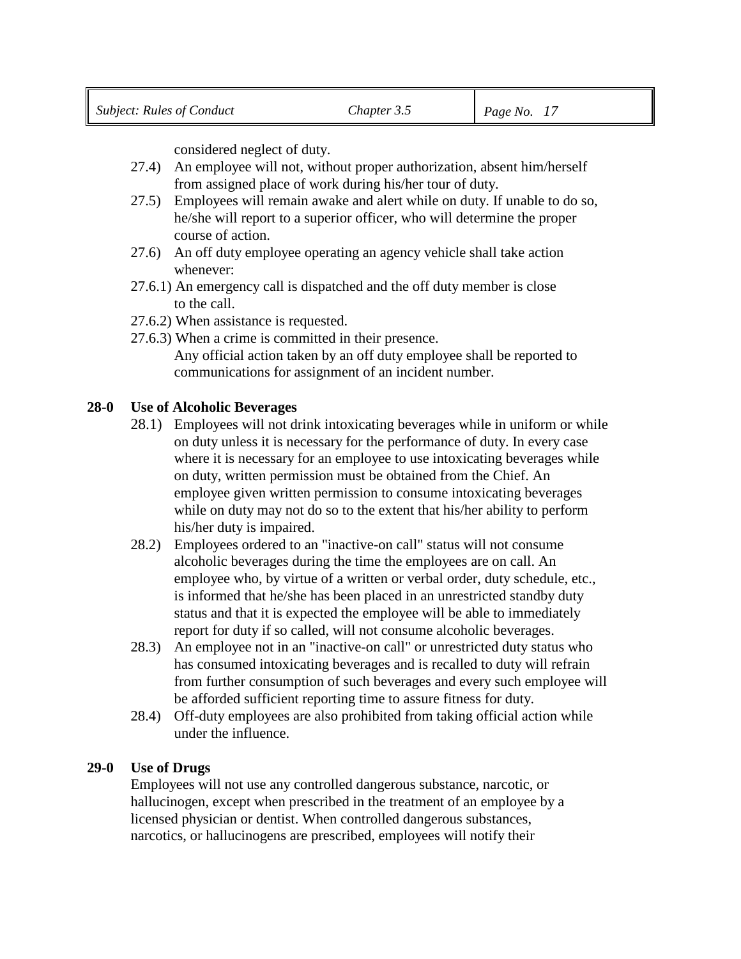considered neglect of duty.

- 27.4) An employee will not, without proper authorization, absent him/herself from assigned place of work during his/her tour of duty.
- 27.5) Employees will remain awake and alert while on duty. If unable to do so, he/she will report to a superior officer, who will determine the proper course of action.
- 27.6) An off duty employee operating an agency vehicle shall take action whenever:
- 27.6.1) An emergency call is dispatched and the off duty member is close to the call.
- 27.6.2) When assistance is requested.
- 27.6.3) When a crime is committed in their presence. Any official action taken by an off duty employee shall be reported to communications for assignment of an incident number.

## **28-0 Use of Alcoholic Beverages**

- 28.1) Employees will not drink intoxicating beverages while in uniform or while on duty unless it is necessary for the performance of duty. In every case where it is necessary for an employee to use intoxicating beverages while on duty, written permission must be obtained from the Chief. An employee given written permission to consume intoxicating beverages while on duty may not do so to the extent that his/her ability to perform his/her duty is impaired.
- 28.2) Employees ordered to an "inactive-on call" status will not consume alcoholic beverages during the time the employees are on call. An employee who, by virtue of a written or verbal order, duty schedule, etc., is informed that he/she has been placed in an unrestricted standby duty status and that it is expected the employee will be able to immediately report for duty if so called, will not consume alcoholic beverages.
- 28.3) An employee not in an "inactive-on call" or unrestricted duty status who has consumed intoxicating beverages and is recalled to duty will refrain from further consumption of such beverages and every such employee will be afforded sufficient reporting time to assure fitness for duty.
- 28.4) Off-duty employees are also prohibited from taking official action while under the influence.

#### **29-0 Use of Drugs**

Employees will not use any controlled dangerous substance, narcotic, or hallucinogen, except when prescribed in the treatment of an employee by a licensed physician or dentist. When controlled dangerous substances, narcotics, or hallucinogens are prescribed, employees will notify their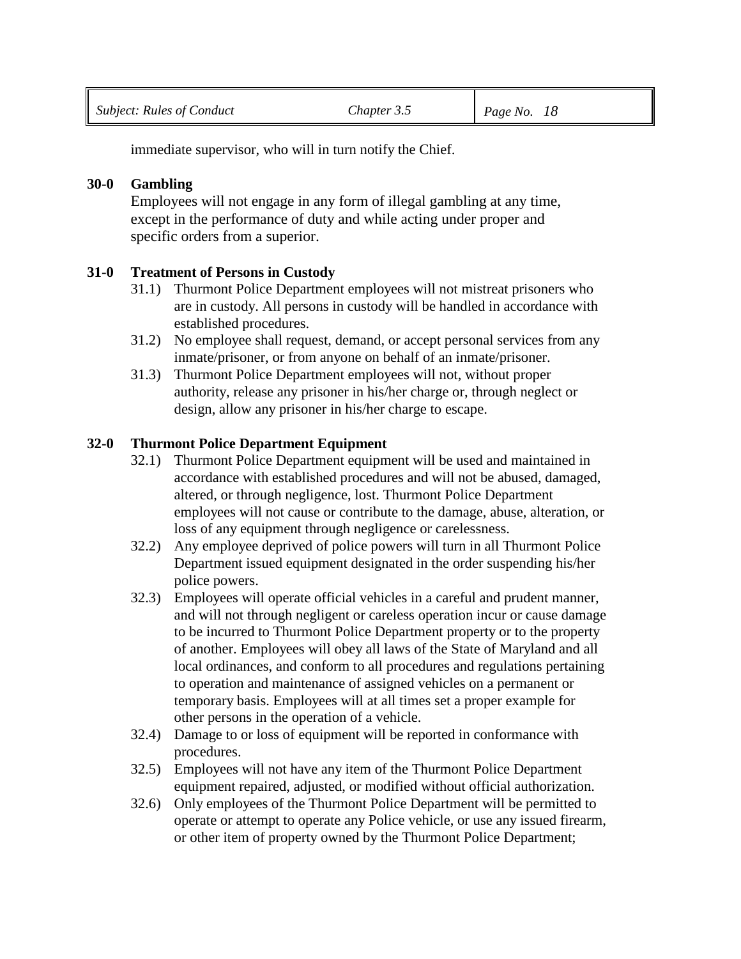immediate supervisor, who will in turn notify the Chief.

## **30-0 Gambling**

Employees will not engage in any form of illegal gambling at any time, except in the performance of duty and while acting under proper and specific orders from a superior.

## **31-0 Treatment of Persons in Custody**

- 31.1) Thurmont Police Department employees will not mistreat prisoners who are in custody. All persons in custody will be handled in accordance with established procedures.
- 31.2) No employee shall request, demand, or accept personal services from any inmate/prisoner, or from anyone on behalf of an inmate/prisoner.
- 31.3) Thurmont Police Department employees will not, without proper authority, release any prisoner in his/her charge or, through neglect or design, allow any prisoner in his/her charge to escape.

## **32-0 Thurmont Police Department Equipment**

- 32.1) Thurmont Police Department equipment will be used and maintained in accordance with established procedures and will not be abused, damaged, altered, or through negligence, lost. Thurmont Police Department employees will not cause or contribute to the damage, abuse, alteration, or loss of any equipment through negligence or carelessness.
- 32.2) Any employee deprived of police powers will turn in all Thurmont Police Department issued equipment designated in the order suspending his/her police powers.
- 32.3) Employees will operate official vehicles in a careful and prudent manner, and will not through negligent or careless operation incur or cause damage to be incurred to Thurmont Police Department property or to the property of another. Employees will obey all laws of the State of Maryland and all local ordinances, and conform to all procedures and regulations pertaining to operation and maintenance of assigned vehicles on a permanent or temporary basis. Employees will at all times set a proper example for other persons in the operation of a vehicle.
- 32.4) Damage to or loss of equipment will be reported in conformance with procedures.
- 32.5) Employees will not have any item of the Thurmont Police Department equipment repaired, adjusted, or modified without official authorization.
- 32.6) Only employees of the Thurmont Police Department will be permitted to operate or attempt to operate any Police vehicle, or use any issued firearm, or other item of property owned by the Thurmont Police Department;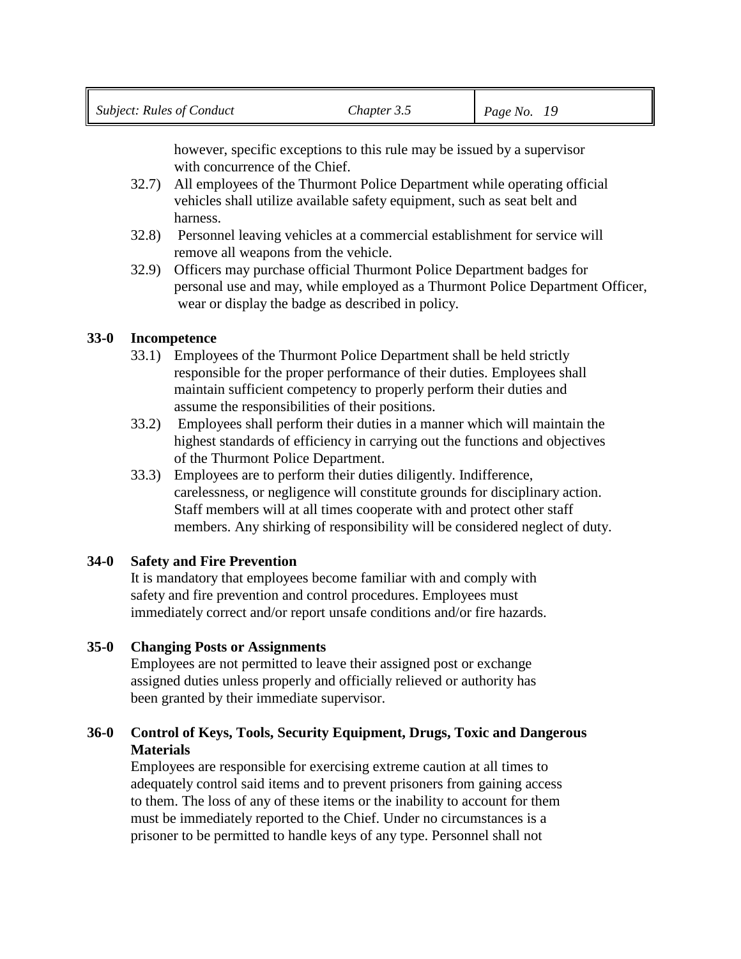however, specific exceptions to this rule may be issued by a supervisor with concurrence of the Chief.

- 32.7) All employees of the Thurmont Police Department while operating official vehicles shall utilize available safety equipment, such as seat belt and harness.
- 32.8) Personnel leaving vehicles at a commercial establishment for service will remove all weapons from the vehicle.
- 32.9) Officers may purchase official Thurmont Police Department badges for personal use and may, while employed as a Thurmont Police Department Officer, wear or display the badge as described in policy.

# **33-0 Incompetence**

- 33.1) Employees of the Thurmont Police Department shall be held strictly responsible for the proper performance of their duties. Employees shall maintain sufficient competency to properly perform their duties and assume the responsibilities of their positions.
- 33.2) Employees shall perform their duties in a manner which will maintain the highest standards of efficiency in carrying out the functions and objectives of the Thurmont Police Department.
- 33.3) Employees are to perform their duties diligently. Indifference, carelessness, or negligence will constitute grounds for disciplinary action. Staff members will at all times cooperate with and protect other staff members. Any shirking of responsibility will be considered neglect of duty.

## **34-0 Safety and Fire Prevention**

It is mandatory that employees become familiar with and comply with safety and fire prevention and control procedures. Employees must immediately correct and/or report unsafe conditions and/or fire hazards.

# **35-0 Changing Posts or Assignments**

Employees are not permitted to leave their assigned post or exchange assigned duties unless properly and officially relieved or authority has been granted by their immediate supervisor.

# **36-0 Control of Keys, Tools, Security Equipment, Drugs, Toxic and Dangerous Materials**

Employees are responsible for exercising extreme caution at all times to adequately control said items and to prevent prisoners from gaining access to them. The loss of any of these items or the inability to account for them must be immediately reported to the Chief. Under no circumstances is a prisoner to be permitted to handle keys of any type. Personnel shall not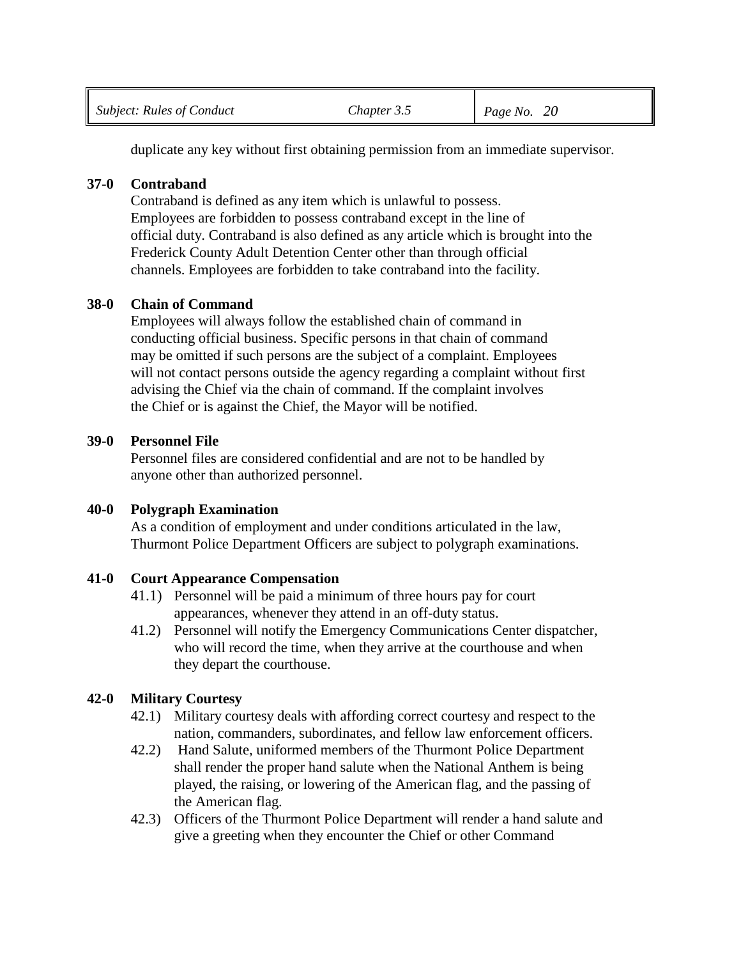duplicate any key without first obtaining permission from an immediate supervisor.

## **37-0 Contraband**

Contraband is defined as any item which is unlawful to possess. Employees are forbidden to possess contraband except in the line of official duty. Contraband is also defined as any article which is brought into the Frederick County Adult Detention Center other than through official channels. Employees are forbidden to take contraband into the facility.

# **38-0 Chain of Command**

Employees will always follow the established chain of command in conducting official business. Specific persons in that chain of command may be omitted if such persons are the subject of a complaint. Employees will not contact persons outside the agency regarding a complaint without first advising the Chief via the chain of command. If the complaint involves the Chief or is against the Chief, the Mayor will be notified.

# **39-0 Personnel File**

Personnel files are considered confidential and are not to be handled by anyone other than authorized personnel.

## **40-0 Polygraph Examination**

As a condition of employment and under conditions articulated in the law, Thurmont Police Department Officers are subject to polygraph examinations.

# **41-0 Court Appearance Compensation**

- 41.1) Personnel will be paid a minimum of three hours pay for court appearances, whenever they attend in an off-duty status.
- 41.2) Personnel will notify the Emergency Communications Center dispatcher, who will record the time, when they arrive at the courthouse and when they depart the courthouse.

# **42-0 Military Courtesy**

- 42.1) Military courtesy deals with affording correct courtesy and respect to the nation, commanders, subordinates, and fellow law enforcement officers.
- 42.2) Hand Salute, uniformed members of the Thurmont Police Department shall render the proper hand salute when the National Anthem is being played, the raising, or lowering of the American flag, and the passing of the American flag.
- 42.3) Officers of the Thurmont Police Department will render a hand salute and give a greeting when they encounter the Chief or other Command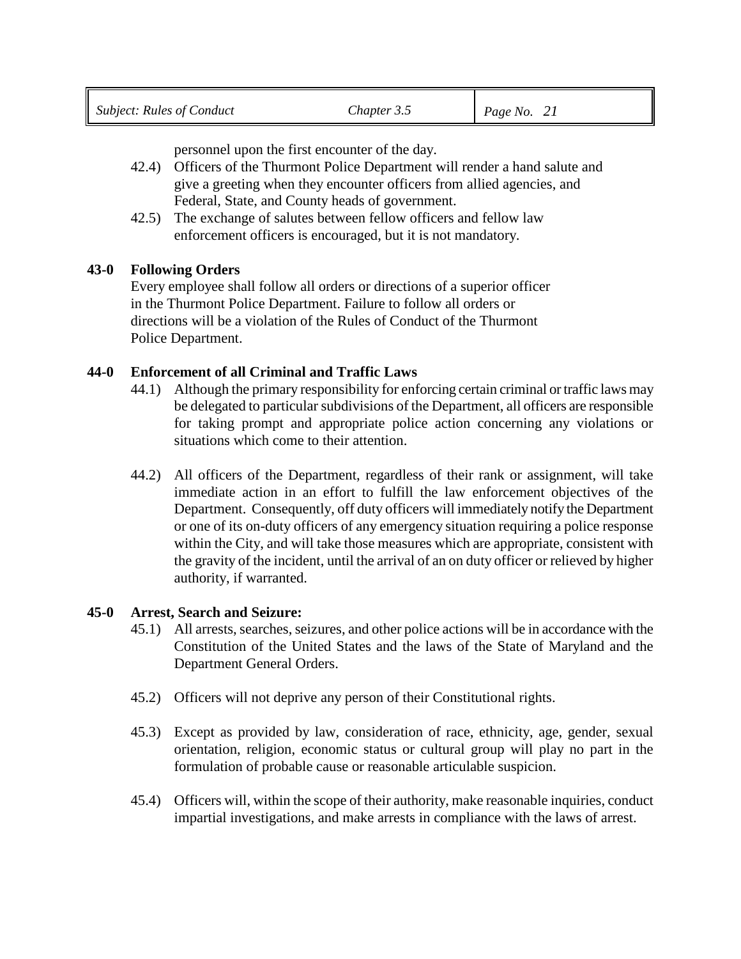personnel upon the first encounter of the day.

- 42.4) Officers of the Thurmont Police Department will render a hand salute and give a greeting when they encounter officers from allied agencies, and Federal, State, and County heads of government.
- 42.5) The exchange of salutes between fellow officers and fellow law enforcement officers is encouraged, but it is not mandatory.

#### **43-0 Following Orders**

Every employee shall follow all orders or directions of a superior officer in the Thurmont Police Department. Failure to follow all orders or directions will be a violation of the Rules of Conduct of the Thurmont Police Department.

#### **44-0 Enforcement of all Criminal and Traffic Laws**

- 44.1) Although the primary responsibility for enforcing certain criminal or traffic laws may be delegated to particular subdivisions of the Department, all officers are responsible for taking prompt and appropriate police action concerning any violations or situations which come to their attention.
- 44.2) All officers of the Department, regardless of their rank or assignment, will take immediate action in an effort to fulfill the law enforcement objectives of the Department. Consequently, off duty officers will immediately notify the Department or one of its on-duty officers of any emergency situation requiring a police response within the City, and will take those measures which are appropriate, consistent with the gravity of the incident, until the arrival of an on duty officer or relieved by higher authority, if warranted.

#### **45-0 Arrest, Search and Seizure:**

- 45.1) All arrests, searches, seizures, and other police actions will be in accordance with the Constitution of the United States and the laws of the State of Maryland and the Department General Orders.
- 45.2) Officers will not deprive any person of their Constitutional rights.
- 45.3) Except as provided by law, consideration of race, ethnicity, age, gender, sexual orientation, religion, economic status or cultural group will play no part in the formulation of probable cause or reasonable articulable suspicion.
- 45.4) Officers will, within the scope of their authority, make reasonable inquiries, conduct impartial investigations, and make arrests in compliance with the laws of arrest.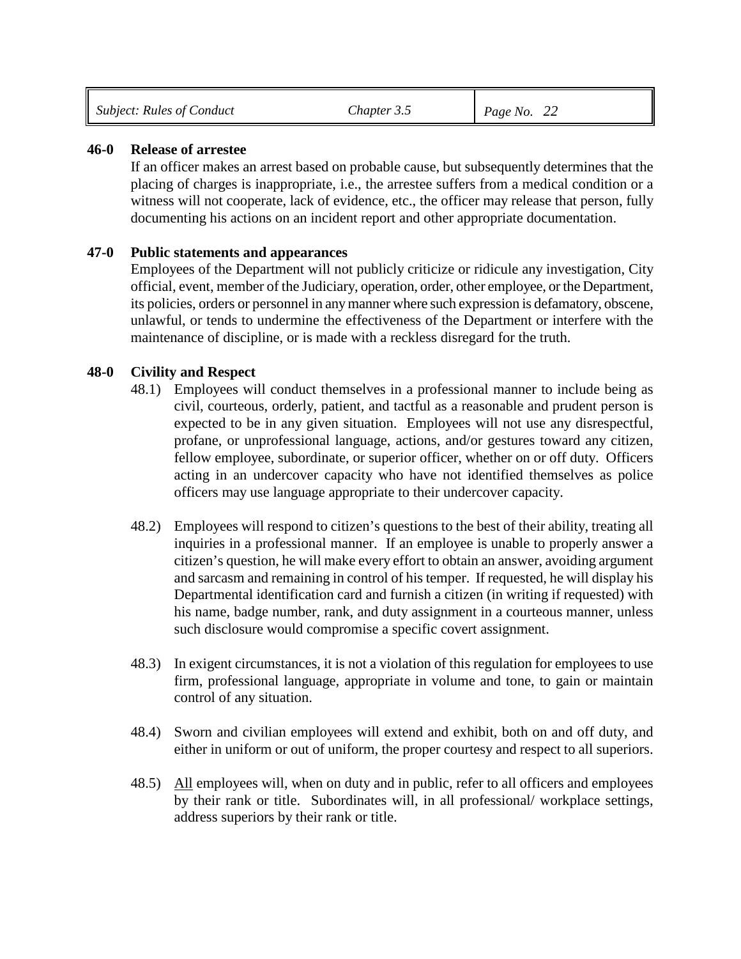|  | Subject: Rules of Conduct | Chapter 3.5 | Page No. $22$ |  |
|--|---------------------------|-------------|---------------|--|
|--|---------------------------|-------------|---------------|--|

#### **46-0 Release of arrestee**

If an officer makes an arrest based on probable cause, but subsequently determines that the placing of charges is inappropriate, i.e., the arrestee suffers from a medical condition or a witness will not cooperate, lack of evidence, etc., the officer may release that person, fully documenting his actions on an incident report and other appropriate documentation.

#### **47-0 Public statements and appearances**

Employees of the Department will not publicly criticize or ridicule any investigation, City official, event, member of the Judiciary, operation, order, other employee, or the Department, its policies, orders or personnel in any manner where such expression is defamatory, obscene, unlawful, or tends to undermine the effectiveness of the Department or interfere with the maintenance of discipline, or is made with a reckless disregard for the truth.

#### **48-0 Civility and Respect**

- 48.1) Employees will conduct themselves in a professional manner to include being as civil, courteous, orderly, patient, and tactful as a reasonable and prudent person is expected to be in any given situation. Employees will not use any disrespectful, profane, or unprofessional language, actions, and/or gestures toward any citizen, fellow employee, subordinate, or superior officer, whether on or off duty. Officers acting in an undercover capacity who have not identified themselves as police officers may use language appropriate to their undercover capacity.
- 48.2) Employees will respond to citizen's questions to the best of their ability, treating all inquiries in a professional manner. If an employee is unable to properly answer a citizen's question, he will make every effort to obtain an answer, avoiding argument and sarcasm and remaining in control of his temper. If requested, he will display his Departmental identification card and furnish a citizen (in writing if requested) with his name, badge number, rank, and duty assignment in a courteous manner, unless such disclosure would compromise a specific covert assignment.
- 48.3) In exigent circumstances, it is not a violation of this regulation for employees to use firm, professional language, appropriate in volume and tone, to gain or maintain control of any situation.
- 48.4) Sworn and civilian employees will extend and exhibit, both on and off duty, and either in uniform or out of uniform, the proper courtesy and respect to all superiors.
- 48.5) All employees will, when on duty and in public, refer to all officers and employees by their rank or title. Subordinates will, in all professional/ workplace settings, address superiors by their rank or title.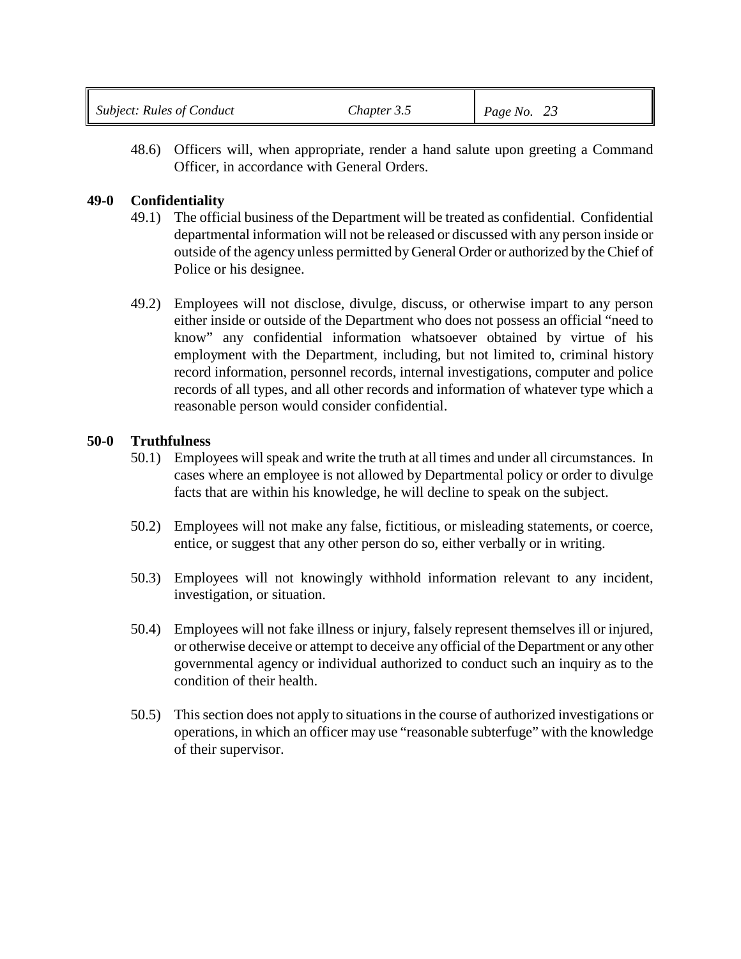| <b>Subject: Rules of Conduct</b> | Chapter 3.5 | Page No. $23$ |
|----------------------------------|-------------|---------------|
|                                  |             |               |

48.6) Officers will, when appropriate, render a hand salute upon greeting a Command Officer, in accordance with General Orders.

## **49-0 Confidentiality**

- 49.1) The official business of the Department will be treated as confidential. Confidential departmental information will not be released or discussed with any person inside or outside of the agency unless permitted by General Order or authorized by the Chief of Police or his designee.
- 49.2) Employees will not disclose, divulge, discuss, or otherwise impart to any person either inside or outside of the Department who does not possess an official "need to know" any confidential information whatsoever obtained by virtue of his employment with the Department, including, but not limited to, criminal history record information, personnel records, internal investigations, computer and police records of all types, and all other records and information of whatever type which a reasonable person would consider confidential.

## **50-0 Truthfulness**

- 50.1) Employees will speak and write the truth at all times and under all circumstances. In cases where an employee is not allowed by Departmental policy or order to divulge facts that are within his knowledge, he will decline to speak on the subject.
- 50.2) Employees will not make any false, fictitious, or misleading statements, or coerce, entice, or suggest that any other person do so, either verbally or in writing.
- 50.3) Employees will not knowingly withhold information relevant to any incident, investigation, or situation.
- 50.4) Employees will not fake illness or injury, falsely represent themselves ill or injured, or otherwise deceive or attempt to deceive any official of the Department or any other governmental agency or individual authorized to conduct such an inquiry as to the condition of their health.
- 50.5) This section does not apply to situations in the course of authorized investigations or operations, in which an officer may use "reasonable subterfuge" with the knowledge of their supervisor.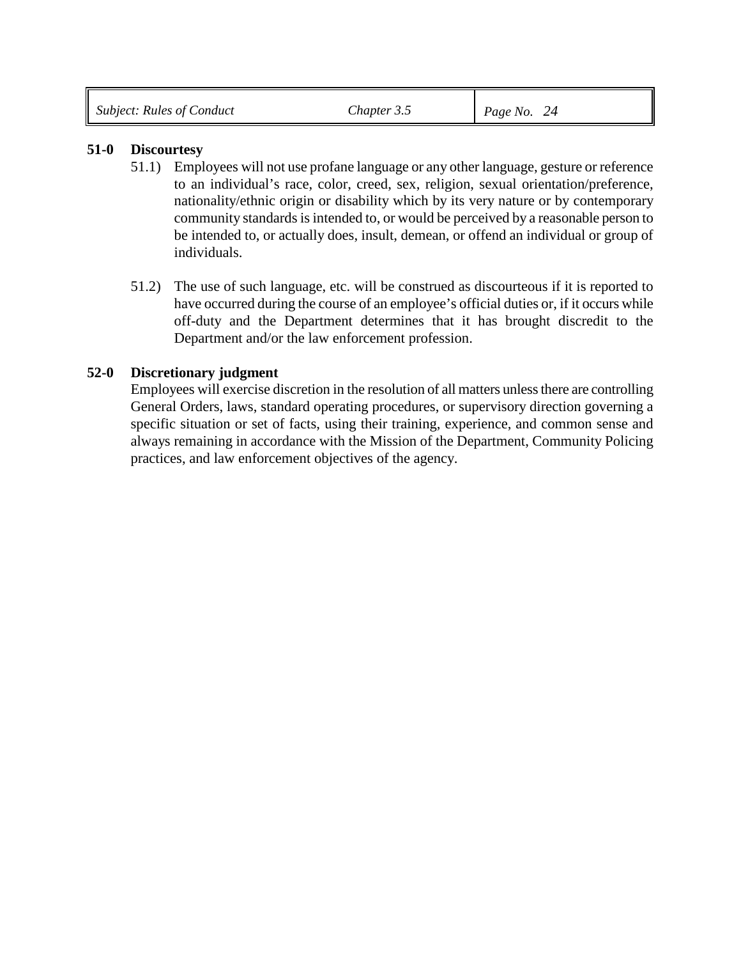| <b>Subject: Rules of Conduct</b><br>Page No.<br>-hapter 3.5<br>24 |  |
|-------------------------------------------------------------------|--|
|-------------------------------------------------------------------|--|

#### **51-0 Discourtesy**

- 51.1) Employees will not use profane language or any other language, gesture or reference to an individual's race, color, creed, sex, religion, sexual orientation/preference, nationality/ethnic origin or disability which by its very nature or by contemporary community standards is intended to, or would be perceived by a reasonable person to be intended to, or actually does, insult, demean, or offend an individual or group of individuals.
- 51.2) The use of such language, etc. will be construed as discourteous if it is reported to have occurred during the course of an employee's official duties or, if it occurs while off-duty and the Department determines that it has brought discredit to the Department and/or the law enforcement profession.

## **52-0 Discretionary judgment**

Employees will exercise discretion in the resolution of all matters unless there are controlling General Orders, laws, standard operating procedures, or supervisory direction governing a specific situation or set of facts, using their training, experience, and common sense and always remaining in accordance with the Mission of the Department, Community Policing practices, and law enforcement objectives of the agency.